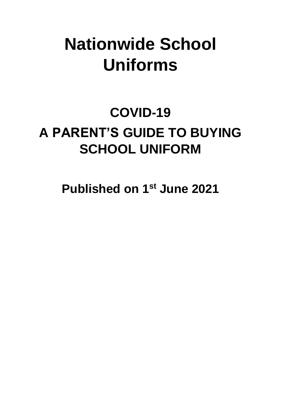# **Nationwide School Uniforms**

# **COVID-19 A PARENT'S GUIDE TO BUYING SCHOOL UNIFORM**

**Published on 1 st June 2021**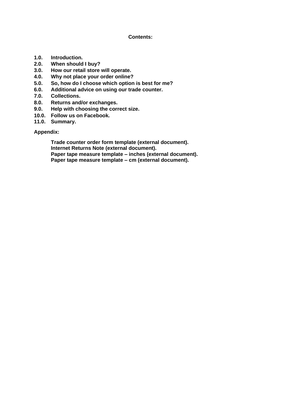#### **Contents:**

- **1.0. Introduction.**
- **2.0. When should I buy?**
- **3.0. How our retail store will operate.**
- **4.0. Why not place your order online?**
- **5.0. So, how do I choose which option is best for me?**
- **6.0. Additional advice on using our trade counter.**
- **7.0. Collections.**
- **8.0. Returns and/or exchanges.**
- **9.0. Help with choosing the correct size.**
- **10.0. Follow us on Facebook.**
- **11.0. Summary.**

**Appendix:**

**Trade counter order form template (external document). Internet Returns Note (external document). Paper tape measure template – inches (external document). Paper tape measure template – cm (external document).**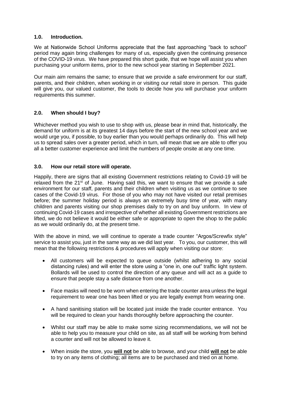#### **1.0. Introduction.**

We at Nationwide School Uniforms appreciate that the fast approaching "back to school" period may again bring challenges for many of us, especially given the continuing presence of the COVID-19 virus. We have prepared this short guide, that we hope will assist you when purchasing your uniform items, prior to the new school year starting in September 2021.

Our main aim remains the same; to ensure that we provide a safe environment for our staff, parents, and their children, when working in or visiting our retail store in person. This guide will give you, our valued customer, the tools to decide how you will purchase your uniform requirements this summer.

### **2.0. When should I buy?**

Whichever method you wish to use to shop with us, please bear in mind that, historically, the demand for uniform is at its greatest 14 days before the start of the new school year and we would urge you, if possible, to buy earlier than you would perhaps ordinarily do. This will help us to spread sales over a greater period, which in turn, will mean that we are able to offer you all a better customer experience and limit the numbers of people onsite at any one time.

#### **3.0. How our retail store will operate.**

Happily, there are signs that all existing Government restrictions relating to Covid-19 will be relaxed from the 21<sup>st</sup> of June. Having said this, we want to ensure that we provide a safe environment for our staff, parents and their children when visiting us as we continue to see cases of the Covid-19 virus. For those of you who may not have visited our retail premises before; the summer holiday period is always an extremely busy time of year, with many children and parents visiting our shop premises daily to try on and buy uniform. In view of continuing Covid-19 cases and irrespective of whether all existing Government restrictions are lifted, we do not believe it would be either safe or appropriate to open the shop to the public as we would ordinarily do, at the present time.

With the above in mind, we will continue to operate a trade counter "Argos/Screwfix style" service to assist you, just in the same way as we did last year. To you, our customer, this will mean that the following restrictions & procedures will apply when visiting our store:

- All customers will be expected to queue outside (whilst adhering to any social distancing rules) and will enter the store using a "one in, one out" traffic light system. Bollards will be used to control the direction of any queue and will act as a guide to ensure that people stay a safe distance from one another.
- Face masks will need to be worn when entering the trade counter area unless the legal requirement to wear one has been lifted or you are legally exempt from wearing one.
- A hand sanitising station will be located just inside the trade counter entrance. You will be required to clean your hands thoroughly before approaching the counter.
- Whilst our staff may be able to make some sizing recommendations, we will not be able to help you to measure your child on site, as all staff will be working from behind a counter and will not be allowed to leave it.
- When inside the store, you **will not** be able to browse, and your child **will not** be able to try on any items of clothing; all items are to be purchased and tried on at home.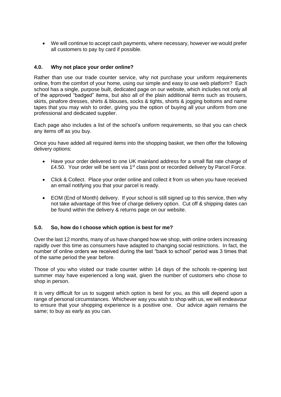• We will continue to accept cash payments, where necessary, however we would prefer all customers to pay by card if possible.

#### **4.0. Why not place your order online?**

Rather than use our trade counter service, why not purchase your uniform requirements online, from the comfort of your home, using our simple and easy to use web platform? Each school has a single, purpose built, dedicated page on our website, which includes not only all of the approved "badged" items, but also all of the plain additional items such as trousers, skirts, pinafore dresses, shirts & blouses, socks & tights, shorts & jogging bottoms and name tapes that you may wish to order, giving you the option of buying all your uniform from one professional and dedicated supplier.

Each page also includes a list of the school's uniform requirements, so that you can check any items off as you buy.

Once you have added all required items into the shopping basket, we then offer the following delivery options:

- Have your order delivered to one UK mainland address for a small flat rate charge of £4.50. Your order will be sent via  $1<sup>st</sup>$  class post or recorded delivery by Parcel Force.
- Click & Collect. Place your order online and collect it from us when you have received an email notifying you that your parcel is ready.
- EOM (End of Month) delivery. If your school is still signed up to this service, then why not take advantage of this free of charge delivery option. Cut off & shipping dates can be found within the delivery & returns page on our website.

#### **5.0. So, how do I choose which option is best for me?**

Over the last 12 months, many of us have changed how we shop, with online orders increasing rapidly over this time as consumers have adapted to changing social restrictions. In fact, the number of online orders we received during the last "back to school" period was 3 times that of the same period the year before.

Those of you who visited our trade counter within 14 days of the schools re-opening last summer may have experienced a long wait, given the number of customers who chose to shop in person.

It is very difficult for us to suggest which option is best for you, as this will depend upon a range of personal circumstances. Whichever way you wish to shop with us, we will endeavour to ensure that your shopping experience is a positive one. Our advice again remains the same; to buy as early as you can.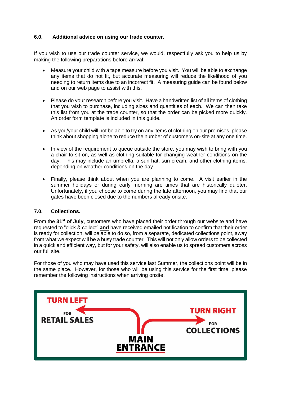#### **6.0. Additional advice on using our trade counter.**

If you wish to use our trade counter service, we would, respectfully ask you to help us by making the following preparations before arrival:

- Measure your child with a tape measure before you visit. You will be able to exchange any items that do not fit, but accurate measuring will reduce the likelihood of you needing to return items due to an incorrect fit. A measuring guide can be found below and on our web page to assist with this.
- Please do your research before you visit. Have a handwritten list of all items of clothing that you wish to purchase, including sizes and quantities of each. We can then take this list from you at the trade counter, so that the order can be picked more quickly. An order form template is included in this guide.
- As you/your child will not be able to try on any items of clothing on our premises, please think about shopping alone to reduce the number of customers on-site at any one time.
- In view of the requirement to queue outside the store, you may wish to bring with you a chair to sit on, as well as clothing suitable for changing weather conditions on the day. This may include an umbrella, a sun hat, sun cream, and other clothing items, depending on weather conditions on the day.
- Finally, please think about when you are planning to come. A visit earlier in the summer holidays or during early morning are times that are historically quieter. Unfortunately, if you choose to come during the late afternoon, you may find that our gates have been closed due to the numbers already onsite.

#### **7.0. Collections.**

From the **31st of July**, customers who have placed their order through our website and have requested to "click & collect" **and** have received emailed notification to confirm that their order is ready for collection, will be able to do so, from a separate, dedicated collections point, away from what we expect will be a busy trade counter. This will not only allow orders to be collected in a quick and efficient way, but for your safety, will also enable us to spread customers across our full site.

For those of you who may have used this service last Summer, the collections point will be in the same place. However, for those who will be using this service for the first time, please remember the following instructions when arriving onsite.

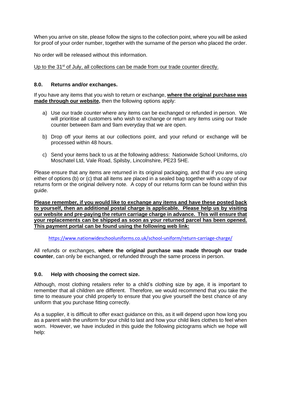When you arrive on site, please follow the signs to the collection point, where you will be asked for proof of your order number, together with the surname of the person who placed the order.

No order will be released without this information.

Up to the 31<sup>st</sup> of July, all collections can be made from our trade counter directly.

#### **8.0. Returns and/or exchanges.**

If you have any items that you wish to return or exchange, **where the original purchase was made through our website,** then the following options apply:

- a) Use our trade counter where any items can be exchanged or refunded in person. We will prioritise all customers who wish to exchange or return any items using our trade counter between 8am and 9am everyday that we are open.
- b) Drop off your items at our collections point, and your refund or exchange will be processed within 48 hours.
- c) Send your items back to us at the following address: Nationwide School Uniforms, c/o Moschatel Ltd, Vale Road, Spilsby, Lincolnshire, PE23 5HE.

Please ensure that any items are returned in its original packaging, and that if you are using either of options (b) or (c) that all items are placed in a sealed bag together with a copy of our returns form or the original delivery note. A copy of our returns form can be found within this guide.

**Please remember, if you would like to exchange any items and have these posted back to yourself, then an additional postal charge is applicable. Please help us by visiting our website and pre-paying the return carriage charge in advance. This will ensure that your replacements can be shipped as soon as your returned parcel has been opened. This payment portal can be found using the following web link:**

<https://www.nationwideschooluniforms.co.uk/school-uniform/return-carriage-charge/>

All refunds or exchanges, **where the original purchase was made through our trade counter**, can only be exchanged, or refunded through the same process in person.

#### **9.0. Help with choosing the correct size.**

Although, most clothing retailers refer to a child's clothing size by age, it is important to remember that all children are different. Therefore, we would recommend that you take the time to measure your child properly to ensure that you give yourself the best chance of any uniform that you purchase fitting correctly.

As a supplier, it is difficult to offer exact guidance on this, as it will depend upon how long you as a parent wish the uniform for your child to last and how your child likes clothes to feel when worn. However, we have included in this guide the following pictograms which we hope will help: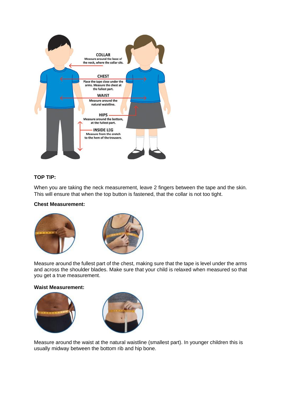

## **TOP TIP:**

When you are taking the neck measurement, leave 2 fingers between the tape and the skin. This will ensure that when the top button is fastened, that the collar is not too tight.

#### **Chest Measurement:**





Measure around the fullest part of the chest, making sure that the tape is level under the arms and across the shoulder blades. Make sure that your child is relaxed when measured so that you get a true measurement.

#### **Waist Measurement:**





Measure around the waist at the natural waistline (smallest part). In younger children this is usually midway between the bottom rib and hip bone.